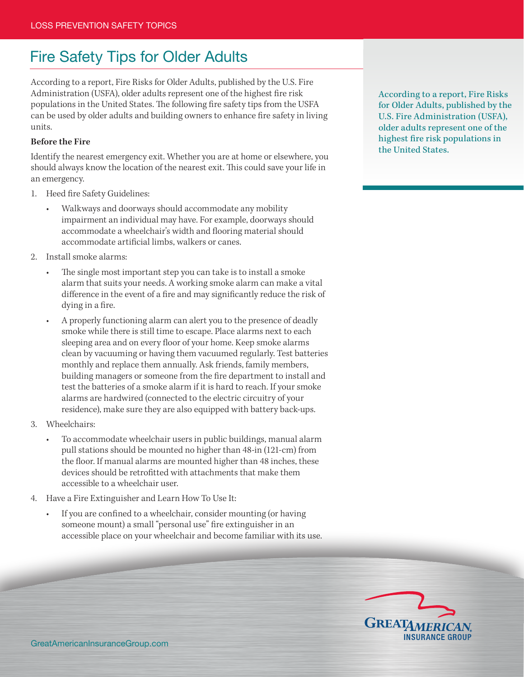## Fire Safety Tips for Older Adults

According to a report, Fire Risks for Older Adults, published by the U.S. Fire Administration (USFA), older adults represent one of the highest fire risk populations in the United States. The following fire safety tips from the USFA can be used by older adults and building owners to enhance fire safety in living units.

## **Before the Fire**

Identify the nearest emergency exit. Whether you are at home or elsewhere, you should always know the location of the nearest exit. This could save your life in an emergency.

- 1. Heed fire Safety Guidelines:
	- Walkways and doorways should accommodate any mobility impairment an individual may have. For example, doorways should accommodate a wheelchair's width and flooring material should accommodate artificial limbs, walkers or canes.
- 2. Install smoke alarms:
	- The single most important step you can take is to install a smoke alarm that suits your needs. A working smoke alarm can make a vital difference in the event of a fire and may significantly reduce the risk of dying in a fire.
	- A properly functioning alarm can alert you to the presence of deadly smoke while there is still time to escape. Place alarms next to each sleeping area and on every floor of your home. Keep smoke alarms clean by vacuuming or having them vacuumed regularly. Test batteries monthly and replace them annually. Ask friends, family members, building managers or someone from the fire department to install and test the batteries of a smoke alarm if it is hard to reach. If your smoke alarms are hardwired (connected to the electric circuitry of your residence), make sure they are also equipped with battery back-ups.
- 3. Wheelchairs:
	- To accommodate wheelchair users in public buildings, manual alarm pull stations should be mounted no higher than 48-in (121-cm) from the floor. If manual alarms are mounted higher than 48 inches, these devices should be retrofitted with attachments that make them accessible to a wheelchair user.
- 4. Have a Fire Extinguisher and Learn How To Use It:
	- If you are confined to a wheelchair, consider mounting (or having someone mount) a small "personal use" fire extinguisher in an accessible place on your wheelchair and become familiar with its use.

According to a report, Fire Risks for Older Adults, published by the U.S. Fire Administration (USFA), older adults represent one of the highest fire risk populations in the United States.

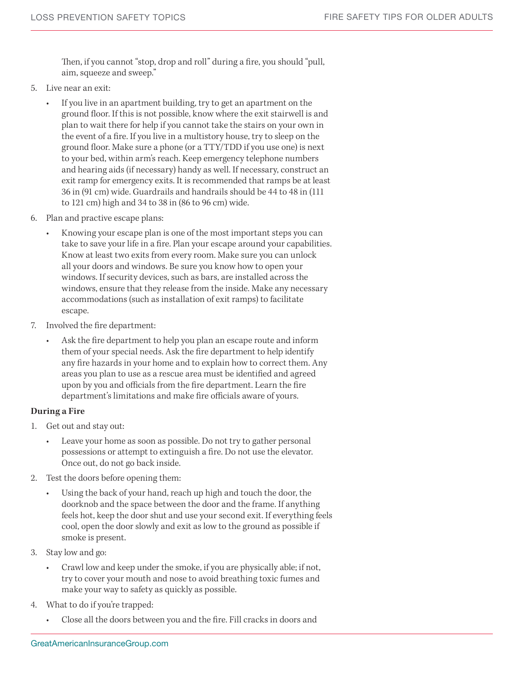Then, if you cannot "stop, drop and roll" during a fire, you should "pull, aim, squeeze and sweep."

- 5. Live near an exit:
	- If you live in an apartment building, try to get an apartment on the ground floor. If this is not possible, know where the exit stairwell is and plan to wait there for help if you cannot take the stairs on your own in the event of a fire. If you live in a multistory house, try to sleep on the ground floor. Make sure a phone (or a TTY/TDD if you use one) is next to your bed, within arm's reach. Keep emergency telephone numbers and hearing aids (if necessary) handy as well. If necessary, construct an exit ramp for emergency exits. It is recommended that ramps be at least 36 in (91 cm) wide. Guardrails and handrails should be 44 to 48 in (111 to 121 cm) high and 34 to 38 in (86 to 96 cm) wide.
- 6. Plan and practive escape plans:
	- Knowing your escape plan is one of the most important steps you can take to save your life in a fire. Plan your escape around your capabilities. Know at least two exits from every room. Make sure you can unlock all your doors and windows. Be sure you know how to open your windows. If security devices, such as bars, are installed across the windows, ensure that they release from the inside. Make any necessary accommodations (such as installation of exit ramps) to facilitate escape.
- 7. Involved the fire department:
	- Ask the fire department to help you plan an escape route and inform them of your special needs. Ask the fire department to help identify any fire hazards in your home and to explain how to correct them. Any areas you plan to use as a rescue area must be identified and agreed upon by you and officials from the fire department. Learn the fire department's limitations and make fire officials aware of yours.

## **During a Fire**

- 1. Get out and stay out:
	- Leave your home as soon as possible. Do not try to gather personal possessions or attempt to extinguish a fire. Do not use the elevator. Once out, do not go back inside.
- 2. Test the doors before opening them:
	- Using the back of your hand, reach up high and touch the door, the doorknob and the space between the door and the frame. If anything feels hot, keep the door shut and use your second exit. If everything feels cool, open the door slowly and exit as low to the ground as possible if smoke is present.
- 3. Stay low and go:
	- Crawl low and keep under the smoke, if you are physically able; if not, try to cover your mouth and nose to avoid breathing toxic fumes and make your way to safety as quickly as possible.
- 4. What to do if you're trapped:
	- Close all the doors between you and the fire. Fill cracks in doors and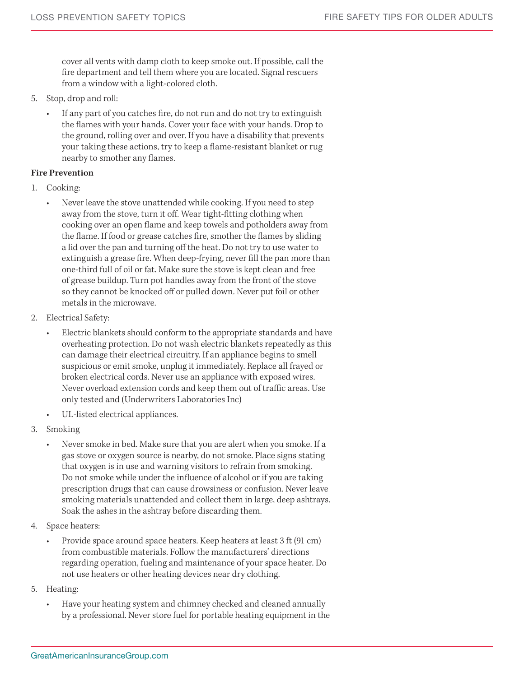cover all vents with damp cloth to keep smoke out. If possible, call the fire department and tell them where you are located. Signal rescuers from a window with a light-colored cloth.

- 5. Stop, drop and roll:
	- If any part of you catches fire, do not run and do not try to extinguish the flames with your hands. Cover your face with your hands. Drop to the ground, rolling over and over. If you have a disability that prevents your taking these actions, try to keep a flame-resistant blanket or rug nearby to smother any flames.

## **Fire Prevention**

- 1. Cooking:
	- Never leave the stove unattended while cooking. If you need to step away from the stove, turn it off. Wear tight-fitting clothing when cooking over an open flame and keep towels and potholders away from the flame. If food or grease catches fire, smother the flames by sliding a lid over the pan and turning off the heat. Do not try to use water to extinguish a grease fire. When deep-frying, never fill the pan more than one-third full of oil or fat. Make sure the stove is kept clean and free of grease buildup. Turn pot handles away from the front of the stove so they cannot be knocked off or pulled down. Never put foil or other metals in the microwave.
- 2. Electrical Safety:
	- Electric blankets should conform to the appropriate standards and have overheating protection. Do not wash electric blankets repeatedly as this can damage their electrical circuitry. If an appliance begins to smell suspicious or emit smoke, unplug it immediately. Replace all frayed or broken electrical cords. Never use an appliance with exposed wires. Never overload extension cords and keep them out of traffic areas. Use only tested and (Underwriters Laboratories Inc)
	- UL-listed electrical appliances.
- 3. Smoking
	- Never smoke in bed. Make sure that you are alert when you smoke. If a gas stove or oxygen source is nearby, do not smoke. Place signs stating that oxygen is in use and warning visitors to refrain from smoking. Do not smoke while under the influence of alcohol or if you are taking prescription drugs that can cause drowsiness or confusion. Never leave smoking materials unattended and collect them in large, deep ashtrays. Soak the ashes in the ashtray before discarding them.
- 4. Space heaters:
	- Provide space around space heaters. Keep heaters at least 3 ft (91 cm) from combustible materials. Follow the manufacturers' directions regarding operation, fueling and maintenance of your space heater. Do not use heaters or other heating devices near dry clothing.
- 5. Heating:
	- Have your heating system and chimney checked and cleaned annually by a professional. Never store fuel for portable heating equipment in the